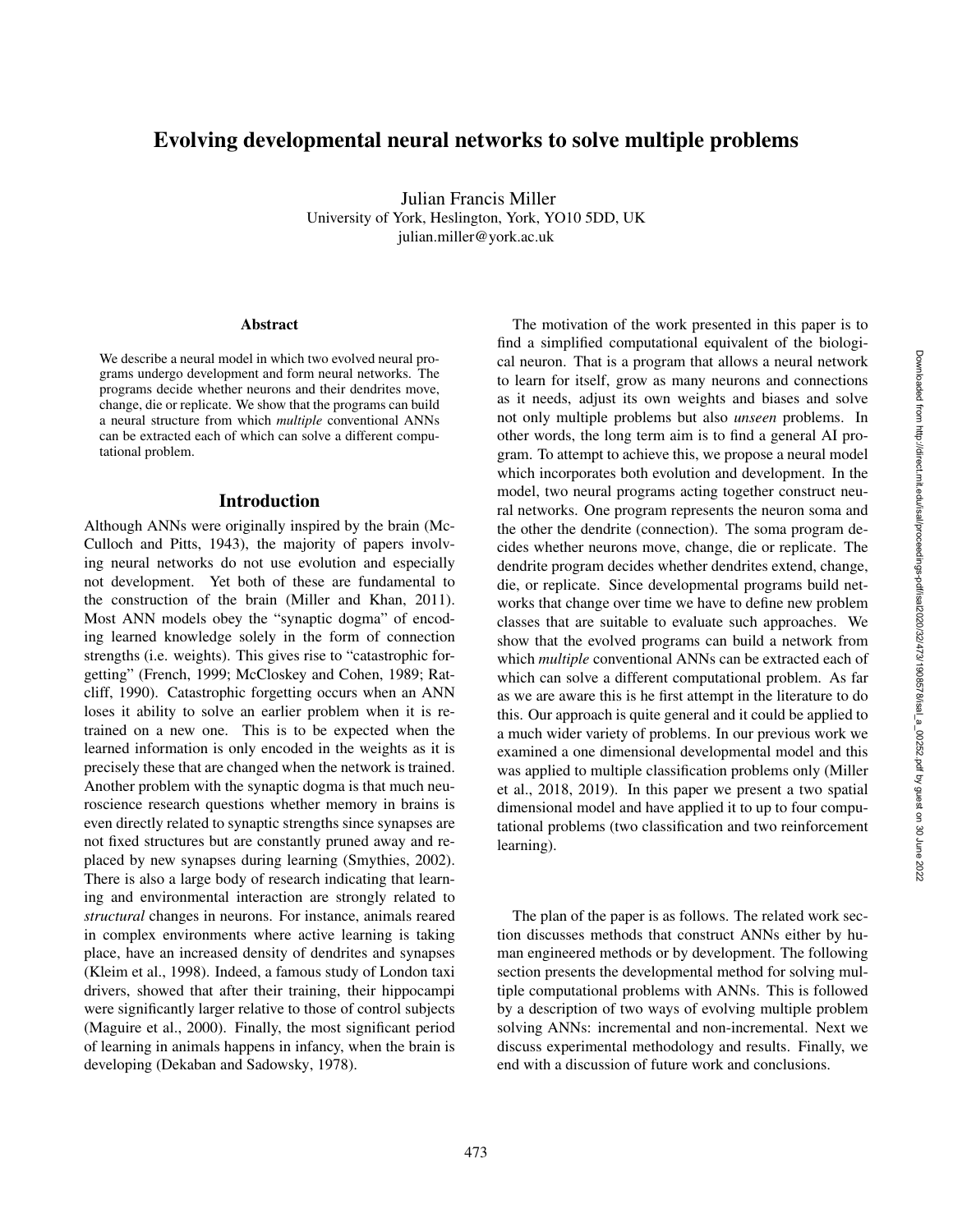# Evolving developmental neural networks to solve multiple problems

Julian Francis Miller University of York, Heslington, York, YO10 5DD, UK julian.miller@york.ac.uk

#### Abstract

We describe a neural model in which two evolved neural programs undergo development and form neural networks. The programs decide whether neurons and their dendrites move, change, die or replicate. We show that the programs can build a neural structure from which *multiple* conventional ANNs can be extracted each of which can solve a different computational problem.

## Introduction

Although ANNs were originally inspired by the brain (Mc-Culloch and Pitts, 1943), the majority of papers involving neural networks do not use evolution and especially not development. Yet both of these are fundamental to the construction of the brain (Miller and Khan, 2011). Most ANN models obey the "synaptic dogma" of encoding learned knowledge solely in the form of connection strengths (i.e. weights). This gives rise to "catastrophic forgetting" (French, 1999; McCloskey and Cohen, 1989; Ratcliff, 1990). Catastrophic forgetting occurs when an ANN loses it ability to solve an earlier problem when it is retrained on a new one. This is to be expected when the learned information is only encoded in the weights as it is precisely these that are changed when the network is trained. Another problem with the synaptic dogma is that much neuroscience research questions whether memory in brains is even directly related to synaptic strengths since synapses are not fixed structures but are constantly pruned away and replaced by new synapses during learning (Smythies, 2002). There is also a large body of research indicating that learning and environmental interaction are strongly related to *structural* changes in neurons. For instance, animals reared in complex environments where active learning is taking place, have an increased density of dendrites and synapses (Kleim et al., 1998). Indeed, a famous study of London taxi drivers, showed that after their training, their hippocampi were significantly larger relative to those of control subjects (Maguire et al., 2000). Finally, the most significant period of learning in animals happens in infancy, when the brain is developing (Dekaban and Sadowsky, 1978).

The motivation of the work presented in this paper is to find a simplified computational equivalent of the biological neuron. That is a program that allows a neural network to learn for itself, grow as many neurons and connections as it needs, adjust its own weights and biases and solve not only multiple problems but also *unseen* problems. In other words, the long term aim is to find a general AI program. To attempt to achieve this, we propose a neural model which incorporates both evolution and development. In the model, two neural programs acting together construct neural networks. One program represents the neuron soma and the other the dendrite (connection). The soma program decides whether neurons move, change, die or replicate. The dendrite program decides whether dendrites extend, change, die, or replicate. Since developmental programs build networks that change over time we have to define new problem classes that are suitable to evaluate such approaches. We show that the evolved programs can build a network from which *multiple* conventional ANNs can be extracted each of which can solve a different computational problem. As far as we are aware this is he first attempt in the literature to do this. Our approach is quite general and it could be applied to a much wider variety of problems. In our previous work we examined a one dimensional developmental model and this was applied to multiple classification problems only (Miller et al., 2018, 2019). In this paper we present a two spatial dimensional model and have applied it to up to four computational problems (two classification and two reinforcement learning).

The plan of the paper is as follows. The related work section discusses methods that construct ANNs either by human engineered methods or by development. The following section presents the developmental method for solving multiple computational problems with ANNs. This is followed by a description of two ways of evolving multiple problem solving ANNs: incremental and non-incremental. Next we discuss experimental methodology and results. Finally, we end with a discussion of future work and conclusions.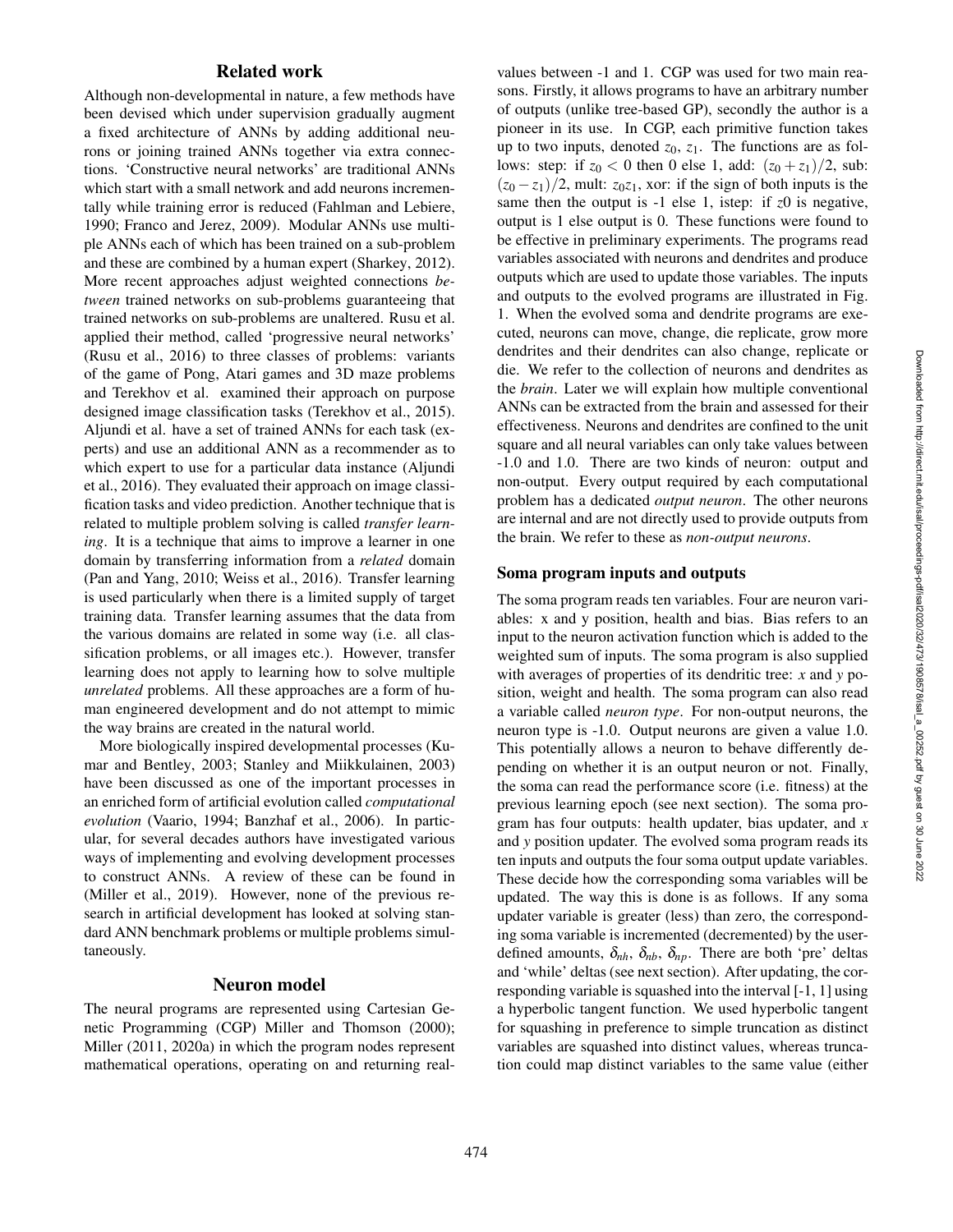## Related work

Although non-developmental in nature, a few methods have been devised which under supervision gradually augment a fixed architecture of ANNs by adding additional neurons or joining trained ANNs together via extra connections. 'Constructive neural networks' are traditional ANNs which start with a small network and add neurons incrementally while training error is reduced (Fahlman and Lebiere, 1990; Franco and Jerez, 2009). Modular ANNs use multiple ANNs each of which has been trained on a sub-problem and these are combined by a human expert (Sharkey, 2012). More recent approaches adjust weighted connections *between* trained networks on sub-problems guaranteeing that trained networks on sub-problems are unaltered. Rusu et al. applied their method, called 'progressive neural networks' (Rusu et al., 2016) to three classes of problems: variants of the game of Pong, Atari games and 3D maze problems and Terekhov et al. examined their approach on purpose designed image classification tasks (Terekhov et al., 2015). Aljundi et al. have a set of trained ANNs for each task (experts) and use an additional ANN as a recommender as to which expert to use for a particular data instance (Aljundi et al., 2016). They evaluated their approach on image classification tasks and video prediction. Another technique that is related to multiple problem solving is called *transfer learning*. It is a technique that aims to improve a learner in one domain by transferring information from a *related* domain (Pan and Yang, 2010; Weiss et al., 2016). Transfer learning is used particularly when there is a limited supply of target training data. Transfer learning assumes that the data from the various domains are related in some way (i.e. all classification problems, or all images etc.). However, transfer learning does not apply to learning how to solve multiple *unrelated* problems. All these approaches are a form of human engineered development and do not attempt to mimic the way brains are created in the natural world.

More biologically inspired developmental processes (Kumar and Bentley, 2003; Stanley and Miikkulainen, 2003) have been discussed as one of the important processes in an enriched form of artificial evolution called *computational evolution* (Vaario, 1994; Banzhaf et al., 2006). In particular, for several decades authors have investigated various ways of implementing and evolving development processes to construct ANNs. A review of these can be found in (Miller et al., 2019). However, none of the previous research in artificial development has looked at solving standard ANN benchmark problems or multiple problems simultaneously.

## Neuron model

The neural programs are represented using Cartesian Genetic Programming (CGP) Miller and Thomson (2000); Miller (2011, 2020a) in which the program nodes represent mathematical operations, operating on and returning real-

values between -1 and 1. CGP was used for two main reasons. Firstly, it allows programs to have an arbitrary number of outputs (unlike tree-based GP), secondly the author is a pioneer in its use. In CGP, each primitive function takes up to two inputs, denoted  $z_0$ ,  $z_1$ . The functions are as follows: step: if  $z_0 < 0$  then 0 else 1, add:  $(z_0 + z_1)/2$ , sub:  $(z_0 - z_1)/2$ , mult:  $z_0z_1$ , xor: if the sign of both inputs is the same then the output is -1 else 1, istep: if *z*0 is negative, output is 1 else output is 0. These functions were found to be effective in preliminary experiments. The programs read variables associated with neurons and dendrites and produce outputs which are used to update those variables. The inputs and outputs to the evolved programs are illustrated in Fig. 1. When the evolved soma and dendrite programs are executed, neurons can move, change, die replicate, grow more dendrites and their dendrites can also change, replicate or die. We refer to the collection of neurons and dendrites as the *brain*. Later we will explain how multiple conventional ANNs can be extracted from the brain and assessed for their effectiveness. Neurons and dendrites are confined to the unit square and all neural variables can only take values between -1.0 and 1.0. There are two kinds of neuron: output and non-output. Every output required by each computational problem has a dedicated *output neuron*. The other neurons are internal and are not directly used to provide outputs from the brain. We refer to these as *non-output neurons* .

#### Soma program inputs and outputs

The soma program reads ten variables. Four are neuron variables: x and y position, health and bias. Bias refers to an input to the neuron activation function which is added to the weighted sum of inputs. The soma program is also supplied with averages of properties of its dendritic tree: *x* and *y* position, weight and health. The soma program can also read a variable called *neuron type*. For non-output neurons, the neuron type is -1.0. Output neurons are given a value 1.0. This potentially allows a neuron to behave differently depending on whether it is an output neuron or not. Finally, the soma can read the performance score (i.e. fitness) at the previous learning epoch (see next section). The soma program has four outputs: health updater, bias updater, and *x* and *y* position updater. The evolved soma program reads its ten inputs and outputs the four soma output update variables. These decide how the corresponding soma variables will be updated. The way this is done is as follows. If any soma updater variable is greater (less) than zero, the corresponding soma variable is incremented (decremented) by the userdefined amounts,  $\delta_{nh}$ ,  $\delta_{nb}$ ,  $\delta_{np}$ . There are both 'pre' deltas and 'while' deltas (see next section). After updating, the corresponding variable is squashed into the interval [-1, 1] using a hyperbolic tangent function. We used hyperbolic tangent for squashing in preference to simple truncation as distinct variables are squashed into distinct values, whereas truncation could map distinct variables to the same value (either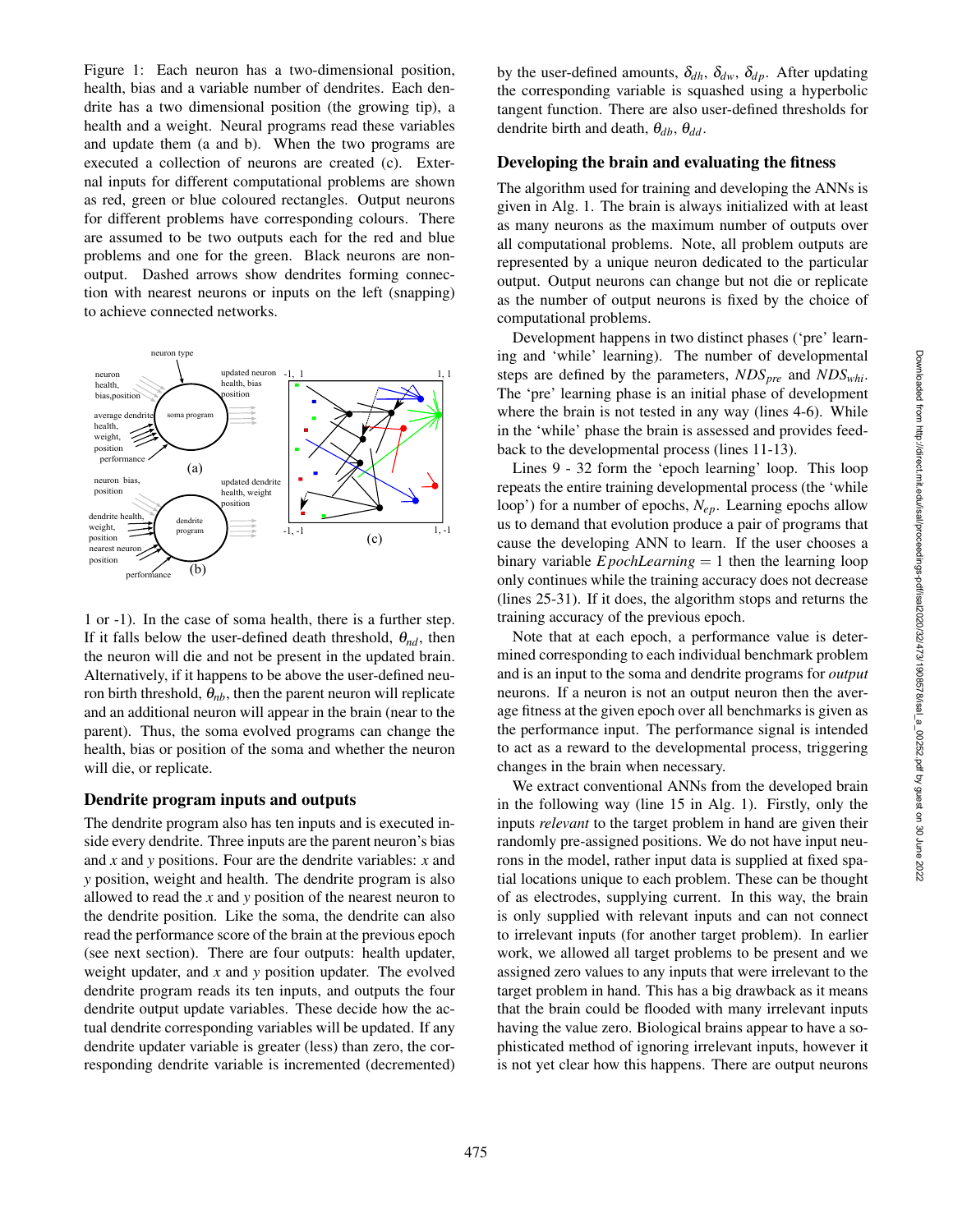Figure 1: Each neuron has a two-dimensional position, health, bias and a variable number of dendrites. Each dendrite has a two dimensional position (the growing tip), a health and a weight. Neural programs read these variables and update them (a and b). When the two programs are executed a collection of neurons are created (c). External inputs for different computational problems are shown as red, green or blue coloured rectangles. Output neurons for different problems have corresponding colours. There are assumed to be two outputs each for the red and blue problems and one for the green. Black neurons are nonoutput. Dashed arrows show dendrites forming connection with nearest neurons or inputs on the left (snapping) to achieve connected networks.



1 or -1). In the case of soma health, there is a further step. If it falls below the user-defined death threshold,  $\theta_{nd}$ , then the neuron will die and not be present in the updated brain. Alternatively, if it happens to be above the user-defined neuron birth threshold,  $\theta_{nb}$ , then the parent neuron will replicate and an additional neuron will appear in the brain (near to the parent). Thus, the soma evolved programs can change the health, bias or position of the soma and whether the neuron will die, or replicate.

#### Dendrite program inputs and outputs

The dendrite program also has ten inputs and is executed inside every dendrite. Three inputs are the parent neuron's bias and *x* and *y* positions. Four are the dendrite variables: *x* and *y* position, weight and health. The dendrite program is also allowed to read the *x* and *y* position of the nearest neuron to the dendrite position. Like the soma, the dendrite can also read the performance score of the brain at the previous epoch (see next section). There are four outputs: health updater, weight updater, and *x* and *y* position updater. The evolved dendrite program reads its ten inputs, and outputs the four dendrite output update variables. These decide how the actual dendrite corresponding variables will be updated. If any dendrite updater variable is greater (less) than zero, the corresponding dendrite variable is incremented (decremented)

by the user-defined amounts,  $\delta_{dh}$ ,  $\delta_{dw}$ ,  $\delta_{dp}$ . After updating the corresponding variable is squashed using a hyperbolic tangent function. There are also user-defined thresholds for dendrite birth and death, θ<sub>db</sub>, θ<sub>dd</sub>.

# Developing the brain and evaluating the fitness

The algorithm used for training and developing the ANNs is given in Alg. 1. The brain is always initialized with at least as many neurons as the maximum number of outputs over all computational problems. Note, all problem outputs are represented by a unique neuron dedicated to the particular output. Output neurons can change but not die or replicate as the number of output neurons is fixed by the choice of computational problems.

Development happens in two distinct phases ('pre' learning and 'while' learning). The number of developmental steps are defined by the parameters, *NDSpre* and *NDSwhi* . The 'pre' learning phase is an initial phase of development where the brain is not tested in any way (lines 4-6). While in the 'while' phase the brain is assessed and provides feedback to the developmental process (lines 11-13).

Lines 9 - 32 form the 'epoch learning' loop. This loop repeats the entire training developmental process (the 'while loop') for a number of epochs, *Nep*. Learning epochs allow us to demand that evolution produce a pair of programs that cause the developing ANN to learn. If the user chooses a binary variable *E pochLearning* = 1 then the learning loop only continues while the training accuracy does not decrease (lines 25-31). If it does, the algorithm stops and returns the training accuracy of the previous epoch.

Note that at each epoch, a performance value is determined corresponding to each individual benchmark problem and is an input to the soma and dendrite programs for *output* neurons. If a neuron is not an output neuron then the average fitness at the given epoch over all benchmarks is given as the performance input. The performance signal is intended to act as a reward to the developmental process, triggering changes in the brain when necessary.

We extract conventional ANNs from the developed brain in the following way (line 15 in Alg. 1). Firstly, only the inputs *relevant* to the target problem in hand are given their randomly pre-assigned positions. We do not have input neurons in the model, rather input data is supplied at fixed spatial locations unique to each problem. These can be thought of as electrodes, supplying current. In this way, the brain is only supplied with relevant inputs and can not connect to irrelevant inputs (for another target problem). In earlier work, we allowed all target problems to be present and we assigned zero values to any inputs that were irrelevant to the target problem in hand. This has a big drawback as it means that the brain could be flooded with many irrelevant inputs having the value zero. Biological brains appear to have a sophisticated method of ignoring irrelevant inputs, however it is not yet clear how this happens. There are output neurons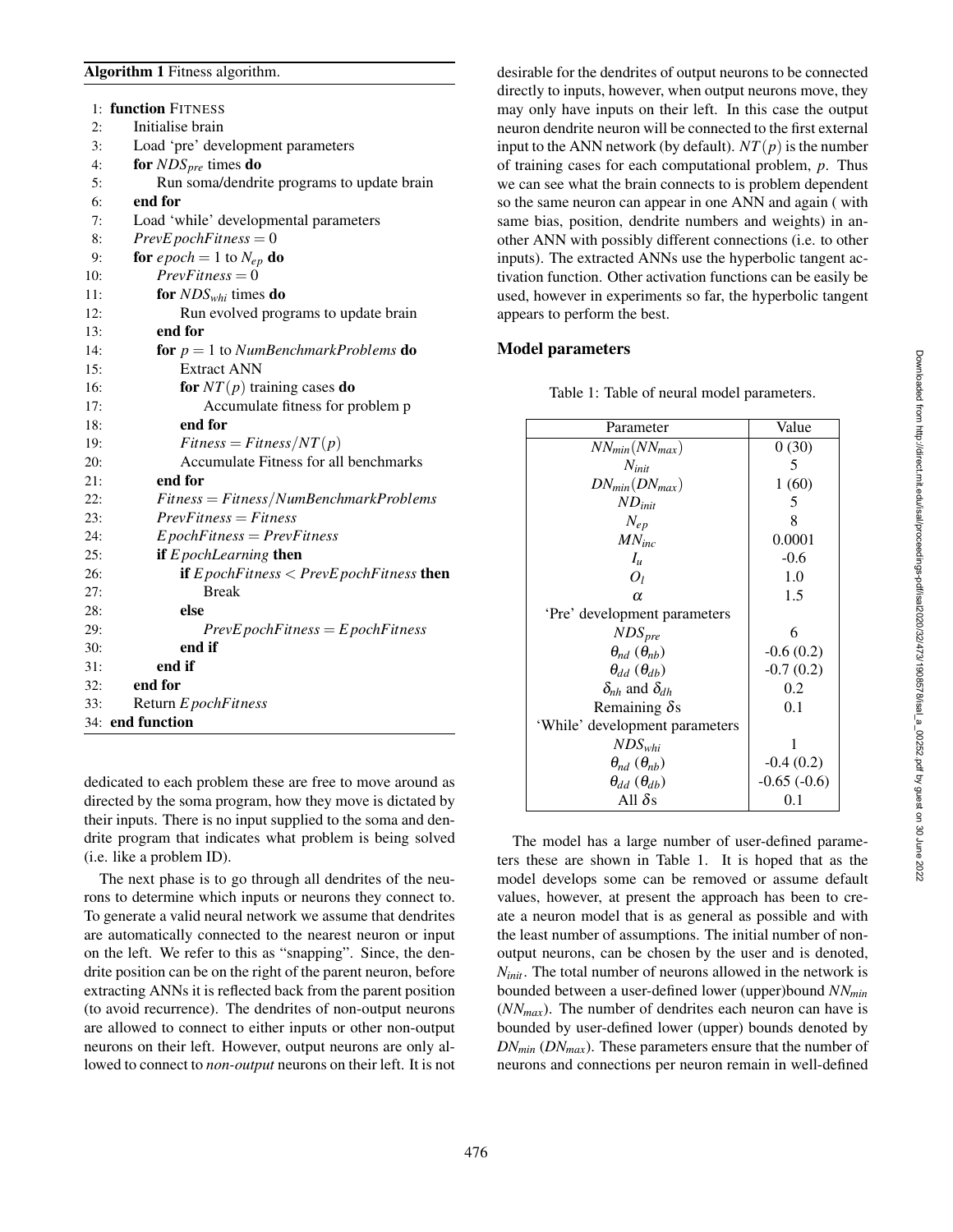#### Algorithm 1 Fitness algorithm.

| 1:  | <b>function FITNESS</b>                                     |
|-----|-------------------------------------------------------------|
| 2:  | Initialise brain                                            |
| 3:  | Load 'pre' development parameters                           |
| 4:  | for $NDS_{pre}$ times do                                    |
| 5:  | Run soma/dendrite programs to update brain                  |
| 6:  | end for                                                     |
| 7:  | Load 'while' developmental parameters                       |
| 8:  | $Prev E pochFitness = 0$                                    |
| 9:  | for <i>epoch</i> = 1 to $N_{ep}$ do                         |
| 10: | $PrevFitness = 0$                                           |
| 11: | for $NDS_{whi}$ times do                                    |
| 12: | Run evolved programs to update brain                        |
| 13: | end for                                                     |
| 14: | <b>for</b> $p = 1$ to <i>NumBenchmarkProblems</i> <b>do</b> |
| 15: | <b>Extract ANN</b>                                          |
| 16: | for $NT(p)$ training cases do                               |
| 17: | Accumulate fitness for problem p                            |
| 18: | end for                                                     |
| 19: | $Fitness = Fitness/NT(p)$                                   |
| 20: | Accumulate Fitness for all benchmarks                       |
| 21: | end for                                                     |
| 22: | $Fitness = Fitness/NumBenchmark Problems$                   |
| 23: | $PrevFitness = Fitness$                                     |
| 24: | $E$ pochFitness = PrevFitness                               |
| 25: | if EpochLearning then                                       |
| 26: | if $E$ pochFitness $\langle$ PrevE pochFitness then         |
| 27: | <b>Break</b>                                                |
| 28: | else                                                        |
| 29: | $Prev E pochFitness = E pochFitness$                        |
| 30: | end if                                                      |
| 31: | end if                                                      |
| 32: | end for                                                     |
| 33: | Return E pochFitness                                        |
|     | 34: end function                                            |

dedicated to each problem these are free to move around as directed by the soma program, how they move is dictated by their inputs. There is no input supplied to the soma and dendrite program that indicates what problem is being solved (i.e. like a problem ID).

The next phase is to go through all dendrites of the neurons to determine which inputs or neurons they connect to. To generate a valid neural network we assume that dendrites are automatically connected to the nearest neuron or input on the left. We refer to this as "snapping". Since, the dendrite position can be on the right of the parent neuron, before extracting ANNs it is reflected back from the parent position (to avoid recurrence). The dendrites of non-output neurons are allowed to connect to either inputs or other non-output neurons on their left. However, output neurons are only allowed to connect to *non-output* neurons on their left. It is not desirable for the dendrites of output neurons to be connected directly to inputs, however, when output neurons move, they may only have inputs on their left. In this case the output neuron dendrite neuron will be connected to the first external input to the ANN network (by default).  $NT(p)$  is the number of training cases for each computational problem, *p*. Thus we can see what the brain connects to is problem dependent so the same neuron can appear in one ANN and again ( with same bias, position, dendrite numbers and weights) in another ANN with possibly different connections (i.e. to other inputs). The extracted ANNs use the hyperbolic tangent activation function. Other activation functions can be easily be used, however in experiments so far, the hyperbolic tangent appears to perform the best.

## Model parameters

Table 1: Table of neural model parameters.

| Parameter                       | Value         |
|---------------------------------|---------------|
|                                 |               |
| $NN_{min}(NN_{max})$            | 0(30)         |
| $N_{init}$                      | 5             |
| $DN_{min}(DN_{max})$            | 1(60)         |
| $ND_{init}$                     | 5             |
| $N_{ep}$                        | 8             |
| $MN_{inc}$                      | 0.0001        |
| $I_{\mu}$                       | $-0.6$        |
| O <sub>1</sub>                  | 1.0           |
| $\alpha$                        | 1.5           |
| 'Pre' development parameters    |               |
| $NDS_{pre}$                     | 6             |
| $\theta_{nd}$ ( $\theta_{nb}$ ) | $-0.6(0.2)$   |
| $\theta_{dd}$ ( $\theta_{db}$ ) | $-0.7(0.2)$   |
| $\delta_{nh}$ and $\delta_{dh}$ | 0.2           |
| Remaining $\delta s$            | 0.1           |
| 'While' development parameters  |               |
| $NDS_{whi}$                     | 1             |
| $\theta_{nd}$ ( $\theta_{nb}$ ) | $-0.4(0.2)$   |
| $\theta_{dd}$ $(\theta_{db})$   | $-0.65(-0.6)$ |
| All $\delta s$                  | 0.1           |

The model has a large number of user-defined parameters these are shown in Table 1. It is hoped that as the model develops some can be removed or assume default values, however, at present the approach has been to create a neuron model that is as general as possible and with the least number of assumptions. The initial number of nonoutput neurons, can be chosen by the user and is denoted, *Ninit*. The total number of neurons allowed in the network is bounded between a user-defined lower (upper)bound *NNmin* (*NNmax*). The number of dendrites each neuron can have is bounded by user-defined lower (upper) bounds denoted by *DNmin* (*DNmax*). These parameters ensure that the number of neurons and connections per neuron remain in well-defined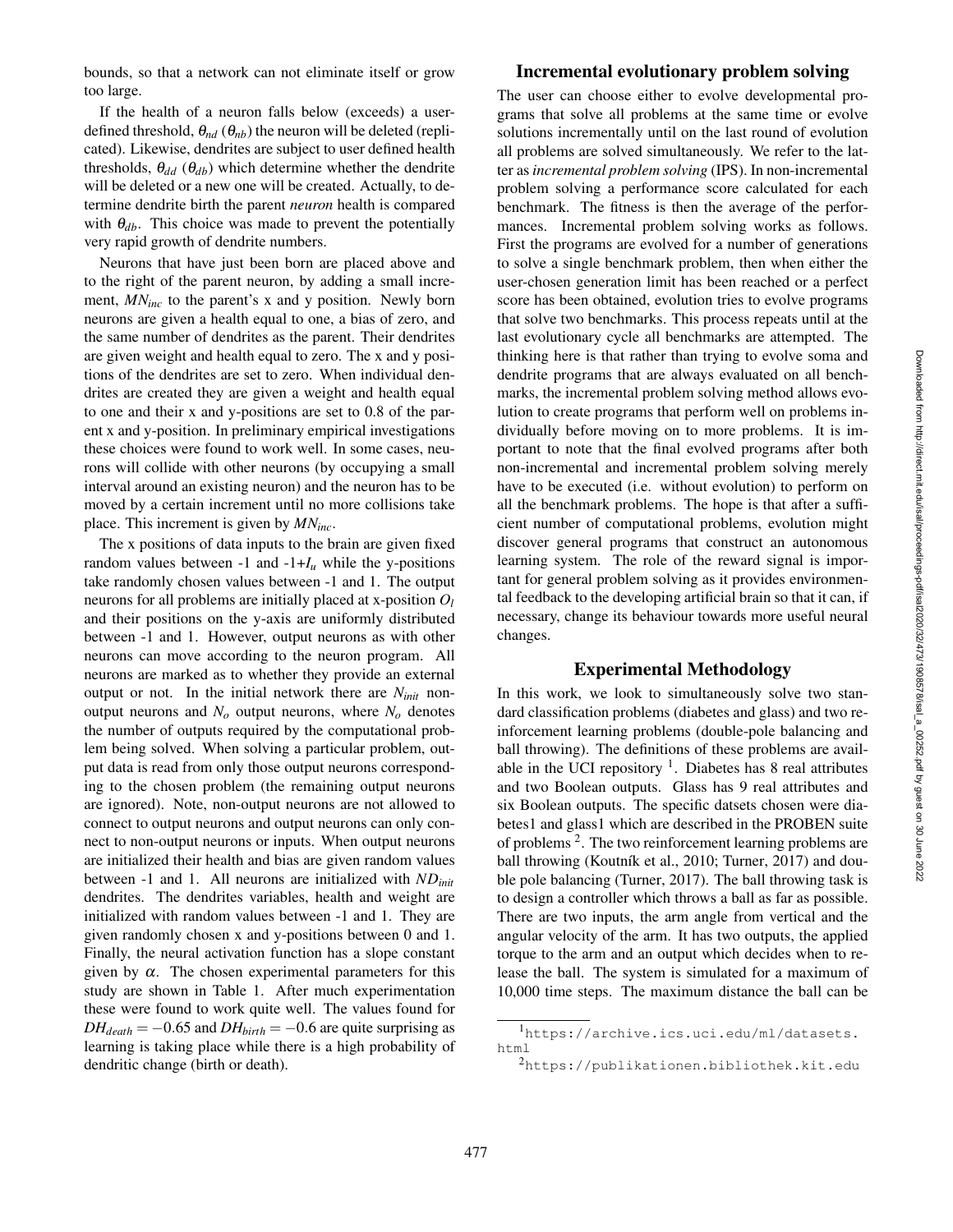bounds, so that a network can not eliminate itself or grow too large.

If the health of a neuron falls below (exceeds) a userdefined threshold,  $\theta_{nd}$  ( $\theta_{nb}$ ) the neuron will be deleted (replicated). Likewise, dendrites are subject to user defined health thresholds,  $\theta_{dd}$  ( $\theta_{db}$ ) which determine whether the dendrite will be deleted or a new one will be created. Actually, to determine dendrite birth the parent *neuron* health is compared with  $\theta_{db}$ . This choice was made to prevent the potentially very rapid growth of dendrite numbers.

Neurons that have just been born are placed above and to the right of the parent neuron, by adding a small increment, *MNinc* to the parent's x and y position. Newly born neurons are given a health equal to one, a bias of zero, and the same number of dendrites as the parent. Their dendrites are given weight and health equal to zero. The x and y positions of the dendrites are set to zero. When individual dendrites are created they are given a weight and health equal to one and their x and y-positions are set to 0.8 of the parent x and y-position. In preliminary empirical investigations these choices were found to work well. In some cases, neurons will collide with other neurons (by occupying a small interval around an existing neuron) and the neuron has to be moved by a certain increment until no more collisions take place. This increment is given by *MNinc* .

The x positions of data inputs to the brain are given fixed random values between  $-1$  and  $-1+I_u$  while the y-positions take randomly chosen values between -1 and 1. The output neurons for all problems are initially placed at x-position *O l* and their positions on the y-axis are uniformly distributed between -1 and 1. However, output neurons as with other neurons can move according to the neuron program. All neurons are marked as to whether they provide an external output or not. In the initial network there are *Ninit* nonoutput neurons and  $N<sub>o</sub>$  output neurons, where  $N<sub>o</sub>$  denotes the number of outputs required by the computational problem being solved. When solving a particular problem, output data is read from only those output neurons corresponding to the chosen problem (the remaining output neurons are ignored). Note, non-output neurons are not allowed to connect to output neurons and output neurons can only connect to non-output neurons or inputs. When output neurons are initialized their health and bias are given random values between -1 and 1. All neurons are initialized with *NDinit* dendrites. The dendrites variables, health and weight are initialized with random values between -1 and 1. They are given randomly chosen x and y-positions between 0 and 1. Finally, the neural activation function has a slope constant given by  $\alpha$ . The chosen experimental parameters for this study are shown in Table 1. After much experimentation these were found to work quite well. The values found for  $DH_{death} = -0.65$  and  $DH_{birth} = -0.6$  are quite surprising as learning is taking place while there is a high probability of dendritic change (birth or death).

## Incremental evolutionary problem solving

The user can choose either to evolve developmental programs that solve all problems at the same time or evolve solutions incrementally until on the last round of evolution all problems are solved simultaneously. We refer to the latter as *incremental problem solving* (IPS). In non-incremental problem solving a performance score calculated for each benchmark. The fitness is then the average of the performances. Incremental problem solving works as follows. First the programs are evolved for a number of generations to solve a single benchmark problem, then when either the user-chosen generation limit has been reached or a perfect score has been obtained, evolution tries to evolve programs that solve two benchmarks. This process repeats until at the last evolutionary cycle all benchmarks are attempted. The thinking here is that rather than trying to evolve soma and dendrite programs that are always evaluated on all benchmarks, the incremental problem solving method allows evolution to create programs that perform well on problems individually before moving on to more problems. It is important to note that the final evolved programs after both non-incremental and incremental problem solving merely have to be executed (i.e. without evolution) to perform on all the benchmark problems. The hope is that after a sufficient number of computational problems, evolution might discover general programs that construct an autonomous learning system. The role of the reward signal is important for general problem solving as it provides environmental feedback to the developing artificial brain so that it can, if necessary, change its behaviour towards more useful neural changes.

## Experimental Methodology

In this work, we look to simultaneously solve two standard classification problems (diabetes and glass) and two reinforcement learning problems (double-pole balancing and ball throwing). The definitions of these problems are available in the UCI repository  $\frac{1}{1}$ . Diabetes has 8 real attributes and two Boolean outputs. Glass has 9 real attributes and six Boolean outputs. The specific datsets chosen were diabetes1 and glass1 which are described in the PROBEN suite of problems<sup>2</sup>. The two reinforcement learning problems are ball throwing (Koutník et al., 2010; Turner, 2017) and double pole balancing (Turner, 2017). The ball throwing task is to design a controller which throws a ball as far as possible. There are two inputs, the arm angle from vertical and the angular velocity of the arm. It has two outputs, the applied torque to the arm and an output which decides when to release the ball. The system is simulated for a maximum of 10,000 time steps. The maximum distance the ball can be

<sup>1</sup>https://archive.ics.uci.edu/ml/datasets. html

<sup>2</sup>https://publikationen.bibliothek.kit.edu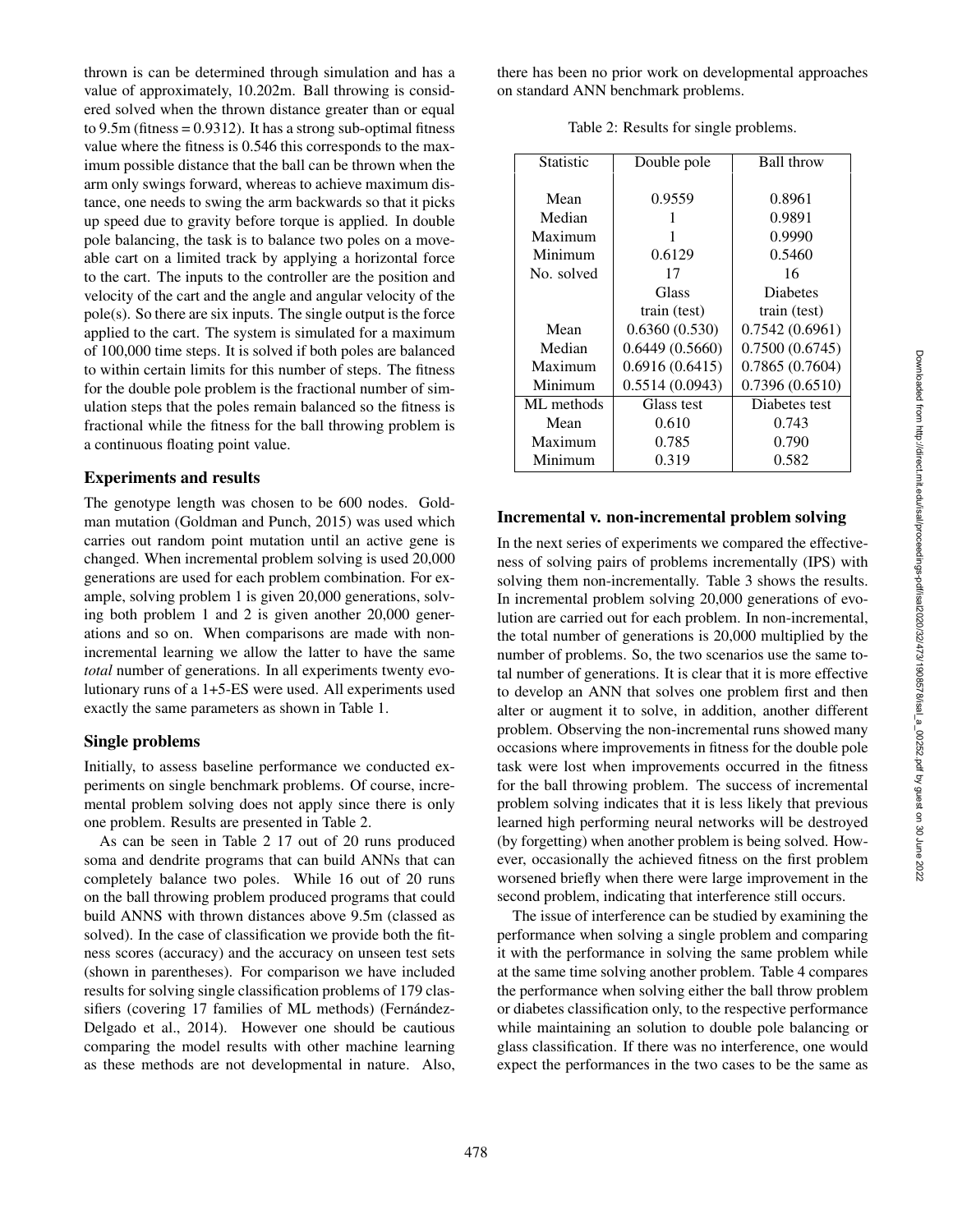thrown is can be determined through simulation and has a value of approximately, 10.202m. Ball throwing is considered solved when the thrown distance greater than or equal to  $9.5$ m (fitness = 0.9312). It has a strong sub-optimal fitness value where the fitness is 0.546 this corresponds to the maximum possible distance that the ball can be thrown when the arm only swings forward, whereas to achieve maximum distance, one needs to swing the arm backwards so that it picks up speed due to gravity before torque is applied. In double pole balancing, the task is to balance two poles on a moveable cart on a limited track by applying a horizontal force to the cart. The inputs to the controller are the position and velocity of the cart and the angle and angular velocity of the pole(s). So there are six inputs. The single output is the force applied to the cart. The system is simulated for a maximum of 100,000 time steps. It is solved if both poles are balanced to within certain limits for this number of steps. The fitness for the double pole problem is the fractional number of simulation steps that the poles remain balanced so the fitness is fractional while the fitness for the ball throwing problem is a continuous floating point value.

### Experiments and results

The genotype length was chosen to be 600 nodes. Goldman mutation (Goldman and Punch, 2015) was used which carries out random point mutation until an active gene is changed. When incremental problem solving is used 20,000 generations are used for each problem combination. For example, solving problem 1 is given 20,000 generations, solving both problem 1 and 2 is given another 20,000 generations and so on. When comparisons are made with nonincremental learning we allow the latter to have the same *total* number of generations. In all experiments twenty evolutionary runs of a 1+5-ES were used. All experiments used exactly the same parameters as shown in Table 1.

#### Single problems

Initially, to assess baseline performance we conducted experiments on single benchmark problems. Of course, incremental problem solving does not apply since there is only one problem. Results are presented in Table 2.

As can be seen in Table 2 17 out of 20 runs produced soma and dendrite programs that can build ANNs that can completely balance two poles. While 16 out of 20 runs on the ball throwing problem produced programs that could build ANNS with thrown distances above 9.5m (classed as solved). In the case of classification we provide both the fitness scores (accuracy) and the accuracy on unseen test sets (shown in parentheses). For comparison we have included results for solving single classification problems of 179 classifiers (covering 17 families of ML methods) (Fernández-Delgado et al., 2014). However one should be cautious comparing the model results with other machine learning as these methods are not developmental in nature. Also,

there has been no prior work on developmental approaches on standard ANN benchmark problems.

Table 2: Results for single problems.

| <b>Statistic</b> | Double pole    | <b>Ball throw</b> |
|------------------|----------------|-------------------|
|                  |                |                   |
| Mean             | 0.9559         | 0.8961            |
| Median           |                | 0.9891            |
| Maximum          | 1              | 0.9990            |
| Minimum          | 0.6129         | 0.5460            |
| No. solved       | 17             | 16                |
|                  | Glass          | Diabetes          |
|                  | train (test)   | train (test)      |
| Mean             | 0.6360(0.530)  | 0.7542(0.6961)    |
| Median           | 0.6449(0.5660) | 0.7500(0.6745)    |
| Maximum          | 0.6916(0.6415) | 0.7865(0.7604)    |
| Minimum          | 0.5514(0.0943) | 0.7396(0.6510)    |
| ML methods       | Glass test     | Diabetes test     |
| Mean             | 0.610          | 0.743             |
| Maximum          | 0.785          | 0.790             |
| Minimum          | 0.319          | 0.582             |
|                  |                |                   |

#### Incremental v. non-incremental problem solving

In the next series of experiments we compared the effectiveness of solving pairs of problems incrementally (IPS) with solving them non-incrementally. Table 3 shows the results. In incremental problem solving 20,000 generations of evolution are carried out for each problem. In non-incremental, the total number of generations is 20,000 multiplied by the number of problems. So, the two scenarios use the same total number of generations. It is clear that it is more effective to develop an ANN that solves one problem first and then alter or augment it to solve, in addition, another different problem. Observing the non-incremental runs showed many occasions where improvements in fitness for the double pole task were lost when improvements occurred in the fitness for the ball throwing problem. The success of incremental problem solving indicates that it is less likely that previous learned high performing neural networks will be destroyed (by forgetting) when another problem is being solved. However, occasionally the achieved fitness on the first problem worsened briefly when there were large improvement in the second problem, indicating that interference still occurs.

The issue of interference can be studied by examining the performance when solving a single problem and comparing it with the performance in solving the same problem while at the same time solving another problem. Table 4 compares the performance when solving either the ball throw problem or diabetes classification only, to the respective performance while maintaining an solution to double pole balancing or glass classification. If there was no interference, one would expect the performances in the two cases to be the same as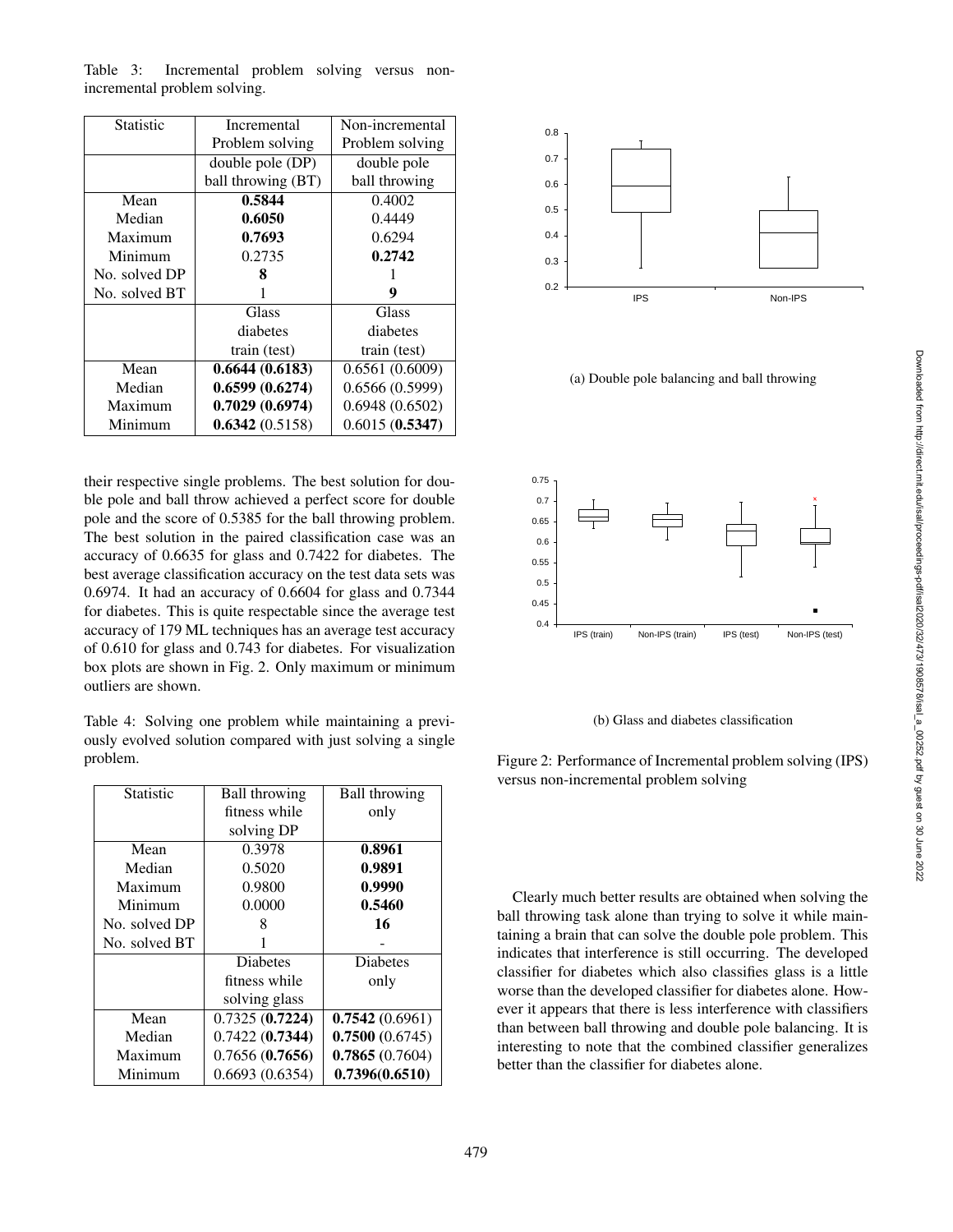| Statistic     | Incremental        | Non-incremental |
|---------------|--------------------|-----------------|
|               | Problem solving    | Problem solving |
|               | double pole (DP)   | double pole     |
|               | ball throwing (BT) | ball throwing   |
| Mean          | 0.5844             | 0.4002          |
| Median        | 0.6050             | 0.4449          |
| Maximum       | 0.7693             | 0.6294          |
| Minimum       | 0.2735             | 0.2742          |
| No. solved DP | 8                  |                 |
| No. solved BT |                    | 9               |
|               | Glass              | Glass           |
|               | diabetes           | diabetes        |
|               | train (test)       | train (test)    |
| Mean          | 0.6644(0.6183)     | 0.6561(0.6009)  |
| Median        | 0.6599(0.6274)     | 0.6566(0.5999)  |
| Maximum       | 0.7029(0.6974)     | 0.6948(0.6502)  |
| Minimum       | 0.6342(0.5158)     | 0.6015(0.5347)  |

Table 3: Incremental problem solving versus nonincremental problem solving.

their respective single problems. The best solution for double pole and ball throw achieved a perfect score for double pole and the score of 0.5385 for the ball throwing problem. The best solution in the paired classification case was an accuracy of 0.6635 for glass and 0.7422 for diabetes. The best average classification accuracy on the test data sets was 0.6974. It had an accuracy of 0.6604 for glass and 0.7344 for diabetes. This is quite respectable since the average test accuracy of 179 ML techniques has an average test accuracy of 0.610 for glass and 0.743 for diabetes. For visualization box plots are shown in Fig. 2. Only maximum or minimum outliers are shown.

Table 4: Solving one problem while maintaining a previously evolved solution compared with just solving a single problem.

| Statistic     | <b>Ball throwing</b> | <b>Ball throwing</b> |
|---------------|----------------------|----------------------|
|               | fitness while        | only                 |
|               | solving DP           |                      |
| Mean          | 0.3978               | 0.8961               |
| Median        | 0.5020               | 0.9891               |
| Maximum       | 0.9800               | 0.9990               |
| Minimum       | 0.0000               | 0.5460               |
| No. solved DP |                      | 16                   |
| No. solved BT |                      |                      |
|               | <b>Diabetes</b>      | <b>Diabetes</b>      |
|               | fitness while        | only                 |
|               | solving glass        |                      |
| Mean          | 0.7325(0.7224)       | 0.7542(0.6961)       |
| Median        | 0.7422(0.7344)       | 0.7500(0.6745)       |
| Maximum       | 0.7656(0.7656)       | 0.7865(0.7604)       |
| Minimum       | 0.6693(0.6354)       | 0.7396(0.6510)       |



(a) Double pole balancing and ball throwing



(b) Glass and diabetes classification

Figure 2: Performance of Incremental problem solving (IPS) versus non-incremental problem solving

Clearly much better results are obtained when solving the ball throwing task alone than trying to solve it while maintaining a brain that can solve the double pole problem. This indicates that interference is still occurring. The developed classifier for diabetes which also classifies glass is a little worse than the developed classifier for diabetes alone. However it appears that there is less interference with classifiers than between ball throwing and double pole balancing. It is interesting to note that the combined classifier generalizes better than the classifier for diabetes alone.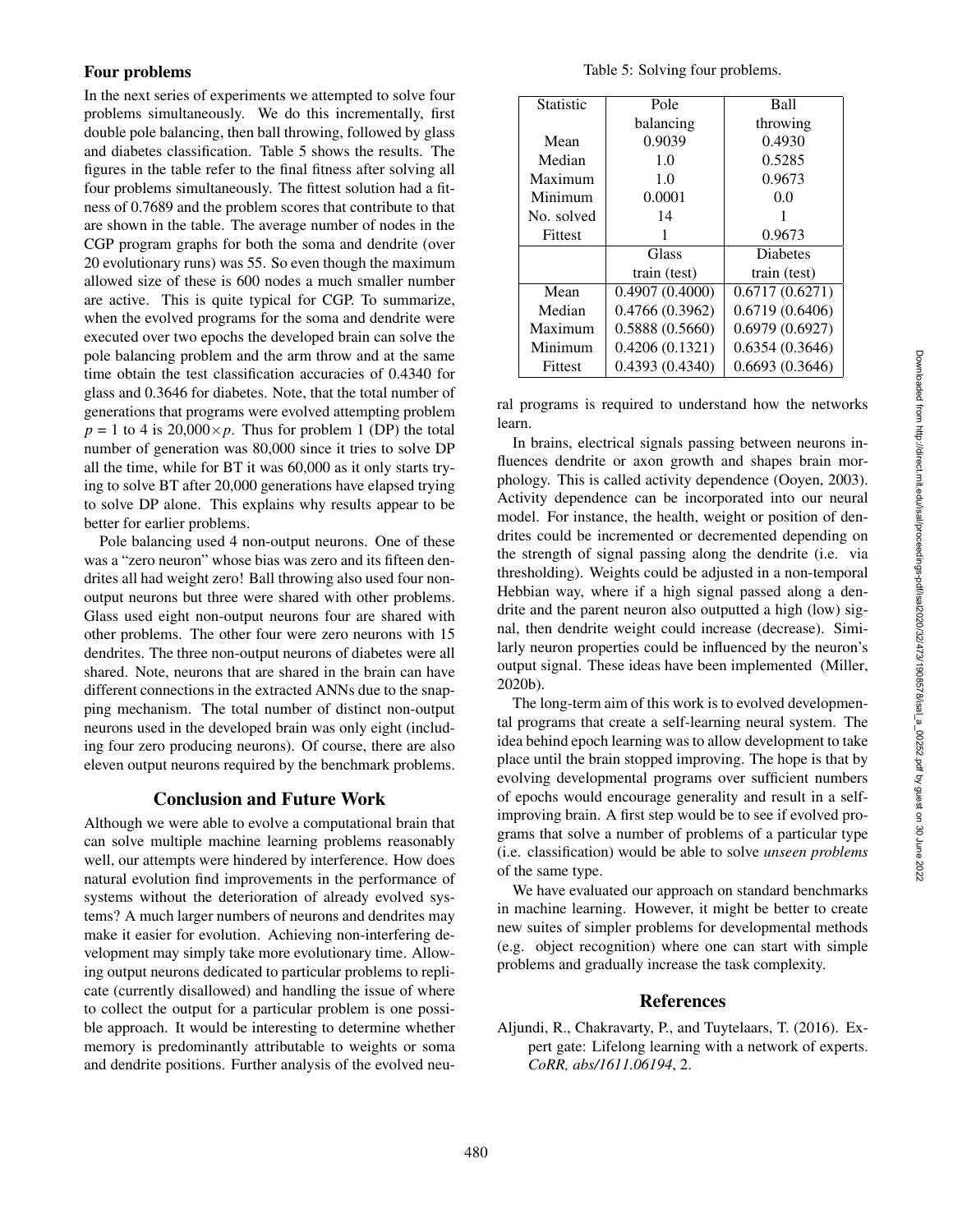## Four problems

In the next series of experiments we attempted to solve four problems simultaneously. We do this incrementally, first double pole balancing, then ball throwing, followed by glass and diabetes classification. Table 5 shows the results. The figures in the table refer to the final fitness after solving all four problems simultaneously. The fittest solution had a fitness of 0.7689 and the problem scores that contribute to that are shown in the table. The average number of nodes in the CGP program graphs for both the soma and dendrite (over 20 evolutionary runs) was 55. So even though the maximum allowed size of these is 600 nodes a much smaller number are active. This is quite typical for CGP. To summarize, when the evolved programs for the soma and dendrite were executed over two epochs the developed brain can solve the pole balancing problem and the arm throw and at the same time obtain the test classification accuracies of 0.4340 for glass and 0.3646 for diabetes. Note, that the total number of generations that programs were evolved attempting problem  $p = 1$  to 4 is  $20,000 \times p$ . Thus for problem 1 (DP) the total number of generation was 80,000 since it tries to solve DP all the time, while for BT it was 60,000 as it only starts trying to solve BT after 20,000 generations have elapsed trying to solve DP alone. This explains why results appear to be better for earlier problems.

Pole balancing used 4 non-output neurons. One of these was a "zero neuron" whose bias was zero and its fifteen dendrites all had weight zero! Ball throwing also used four nonoutput neurons but three were shared with other problems. Glass used eight non-output neurons four are shared with other problems. The other four were zero neurons with 15 dendrites. The three non-output neurons of diabetes were all shared. Note, neurons that are shared in the brain can have different connections in the extracted ANNs due to the snapping mechanism. The total number of distinct non-output neurons used in the developed brain was only eight (including four zero producing neurons). Of course, there are also eleven output neurons required by the benchmark problems.

# Conclusion and Future Work

Although we were able to evolve a computational brain that can solve multiple machine learning problems reasonably well, our attempts were hindered by interference. How does natural evolution find improvements in the performance of systems without the deterioration of already evolved systems? A much larger numbers of neurons and dendrites may make it easier for evolution. Achieving non-interfering development may simply take more evolutionary time. Allowing output neurons dedicated to particular problems to replicate (currently disallowed) and handling the issue of where to collect the output for a particular problem is one possible approach. It would be interesting to determine whether memory is predominantly attributable to weights or soma and dendrite positions. Further analysis of the evolved neu-

| <b>Statistic</b> | Pole            | Ball            |
|------------------|-----------------|-----------------|
|                  | balancing       | throwing        |
| Mean             | 0.9039          | 0.4930          |
| Median           | 1.0             | 0.5285          |
| Maximum          | 1.0             | 0.9673          |
| Minimum          | 0.0001          | 0.0             |
| No. solved       | 14              |                 |
| Fittest          |                 | 0.9673          |
|                  | <b>Glass</b>    | <b>Diabetes</b> |
|                  | train (test)    | train (test)    |
| Mean             | 0.4907(0.4000)  | 0.6717(0.6271)  |
| Median           | 0.4766(0.3962)  | 0.6719(0.6406)  |
| Maximum          | 0.5888(0.5660)  | 0.6979(0.6927)  |
| Minimum          | 0.4206(0.1321)  | 0.6354(0.3646)  |
| <b>Fittest</b>   | 0.4393 (0.4340) | 0.6693(0.3646)  |
|                  |                 |                 |

ral programs is required to understand how the networks learn.

In brains, electrical signals passing between neurons influences dendrite or axon growth and shapes brain morphology. This is called activity dependence (Ooyen, 2003). Activity dependence can be incorporated into our neural model. For instance, the health, weight or position of dendrites could be incremented or decremented depending on the strength of signal passing along the dendrite (i.e. via thresholding). Weights could be adjusted in a non-temporal Hebbian way, where if a high signal passed along a dendrite and the parent neuron also outputted a high (low) signal, then dendrite weight could increase (decrease). Similarly neuron properties could be influenced by the neuron's output signal. These ideas have been implemented (Miller, 2020b).

The long-term aim of this work is to evolved developmental programs that create a self-learning neural system. The idea behind epoch learning was to allow development to take place until the brain stopped improving. The hope is that by evolving developmental programs over sufficient numbers of epochs would encourage generality and result in a selfimproving brain. A first step would be to see if evolved programs that solve a number of problems of a particular type (i.e. classification) would be able to solve *unseen problems* of the same type.

We have evaluated our approach on standard benchmarks in machine learning. However, it might be better to create new suites of simpler problems for developmental methods (e.g. object recognition) where one can start with simple problems and gradually increase the task complexity.

# References

Aljundi, R., Chakravarty, P., and Tuytelaars, T. (2016). Expert gate: Lifelong learning with a network of experts. *CoRR, abs/1611.06194*, 2.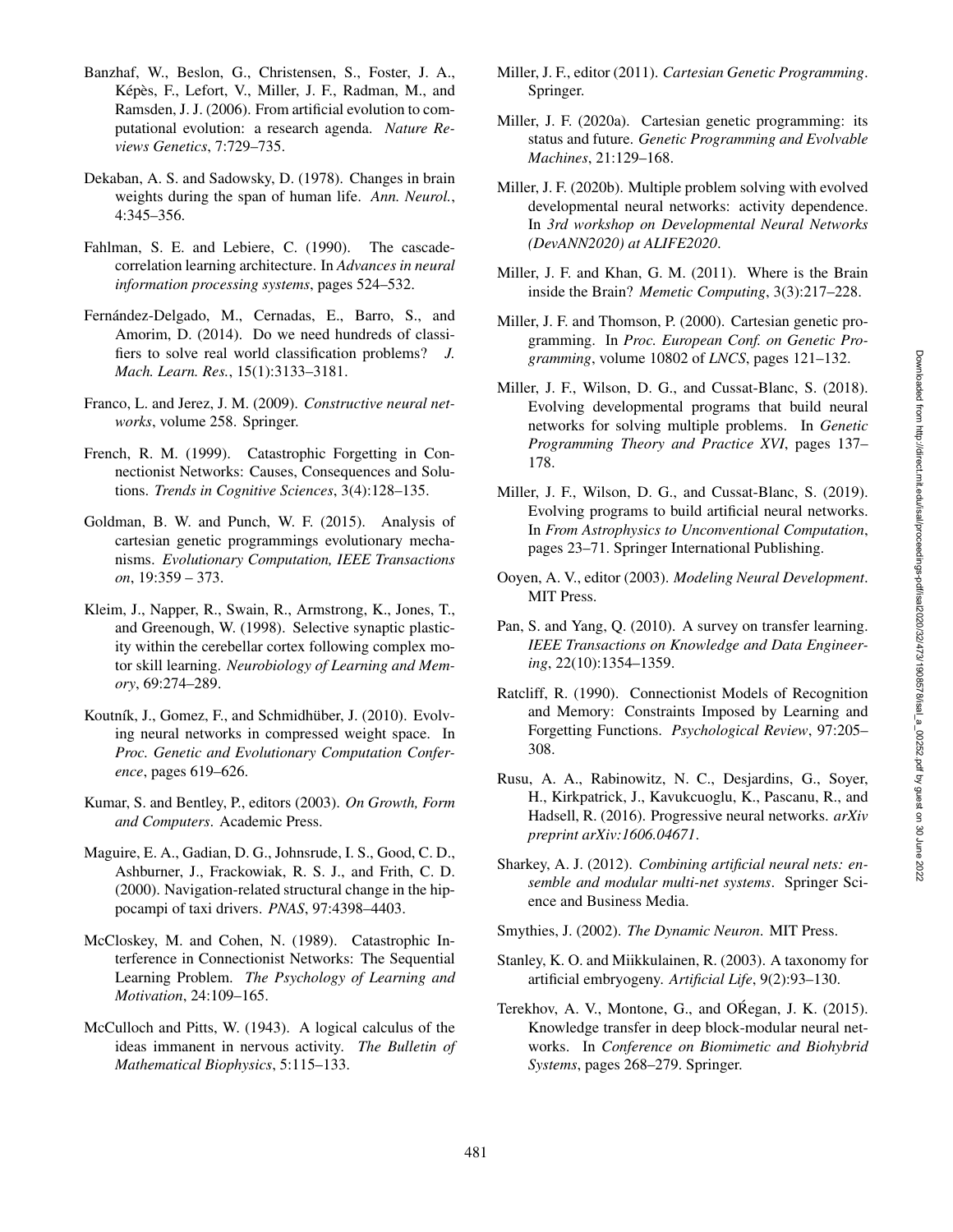- Banzhaf, W., Beslon, G., Christensen, S., Foster, J. A., Képès, F., Lefort, V., Miller, J. F., Radman, M., and Ramsden, J. J. (2006). From artificial evolution to computational evolution: a research agenda. *Nature Reviews Genetics*, 7:729–735.
- Dekaban, A. S. and Sadowsky, D. (1978). Changes in brain weights during the span of human life. *Ann. Neurol.* , 4:345–356.
- Fahlman, S. E. and Lebiere, C. (1990). The cascadecorrelation learning architecture. In *Advances in neural information processing systems*, pages 524–532.
- Fernández-Delgado, M., Cernadas, E., Barro, S., and Amorim, D. (2014). Do we need hundreds of classifiers to solve real world classification problems? *J. Mach. Learn. Res.*, 15(1):3133–3181.
- Franco, L. and Jerez, J. M. (2009). *Constructive neural networks*, volume 258. Springer.
- French, R. M. (1999). Catastrophic Forgetting in Connectionist Networks: Causes, Consequences and Solutions. *Trends in Cognitive Sciences*, 3(4):128–135.
- Goldman, B. W. and Punch, W. F. (2015). Analysis of cartesian genetic programmings evolutionary mechanisms. *Evolutionary Computation, IEEE Transactions on*, 19:359 – 373.
- Kleim, J., Napper, R., Swain, R., Armstrong, K., Jones, T., and Greenough, W. (1998). Selective synaptic plasticity within the cerebellar cortex following complex motor skill learning. *Neurobiology of Learning and Memory*, 69:274–289.
- Koutník, J., Gomez, F., and Schmidhüber, J. (2010). Evolving neural networks in compressed weight space. In *Proc. Genetic and Evolutionary Computation Conference*, pages 619–626.
- Kumar, S. and Bentley, P., editors (2003). *On Growth, Form and Computers*. Academic Press.
- Maguire, E. A., Gadian, D. G., Johnsrude, I. S., Good, C. D., Ashburner, J., Frackowiak, R. S. J., and Frith, C. D. (2000). Navigation-related structural change in the hippocampi of taxi drivers. *PNAS*, 97:4398–4403.
- McCloskey, M. and Cohen, N. (1989). Catastrophic Interference in Connectionist Networks: The Sequential Learning Problem. *The Psychology of Learning and Motivation*, 24:109–165.
- McCulloch and Pitts, W. (1943). A logical calculus of the ideas immanent in nervous activity. *The Bulletin of Mathematical Biophysics*, 5:115–133.
- Miller, J. F., editor (2011). *Cartesian Genetic Programming* . Springer.
- Miller, J. F. (2020a). Cartesian genetic programming: its status and future. *Genetic Programming and Evolvable Machines*, 21:129–168.
- Miller, J. F. (2020b). Multiple problem solving with evolved developmental neural networks: activity dependence. In *3rd workshop on Developmental Neural Networks (DevANN2020) at ALIFE2020* .
- Miller, J. F. and Khan, G. M. (2011). Where is the Brain inside the Brain? *Memetic Computing*, 3(3):217–228.
- Miller, J. F. and Thomson, P. (2000). Cartesian genetic programming. In *Proc. European Conf. on Genetic Programming*, volume 10802 of *LNCS*, pages 121–132.
- Miller, J. F., Wilson, D. G., and Cussat-Blanc, S. (2018). Evolving developmental programs that build neural networks for solving multiple problems. In *Genetic Programming Theory and Practice XVI*, pages 137– 178.
- Miller, J. F., Wilson, D. G., and Cussat-Blanc, S. (2019). Evolving programs to build artificial neural networks. In *From Astrophysics to Unconventional Computation* , pages 23–71. Springer International Publishing.
- Ooyen, A. V., editor (2003). *Modeling Neural Development* . MIT Press.
- Pan, S. and Yang, Q. (2010). A survey on transfer learning. *IEEE Transactions on Knowledge and Data Engineering*, 22(10):1354–1359.
- Ratcliff, R. (1990). Connectionist Models of Recognition and Memory: Constraints Imposed by Learning and Forgetting Functions. *Psychological Review*, 97:205– 308.
- Rusu, A. A., Rabinowitz, N. C., Desjardins, G., Soyer, H., Kirkpatrick, J., Kavukcuoglu, K., Pascanu, R., and Hadsell, R. (2016). Progressive neural networks. *arXiv preprint arXiv:1606.04671* .
- Sharkey, A. J. (2012). *Combining artificial neural nets: ensemble and modular multi-net systems*. Springer Science and Business Media.

Smythies, J. (2002). *The Dynamic Neuron*. MIT Press.

- Stanley, K. O. and Miikkulainen, R. (2003). A taxonomy for artificial embryogeny. *Artificial Life*, 9(2):93–130.
- Terekhov, A. V., Montone, G., and ORegan, J. K. (2015). Knowledge transfer in deep block-modular neural networks. In *Conference on Biomimetic and Biohybrid Systems*, pages 268–279. Springer.